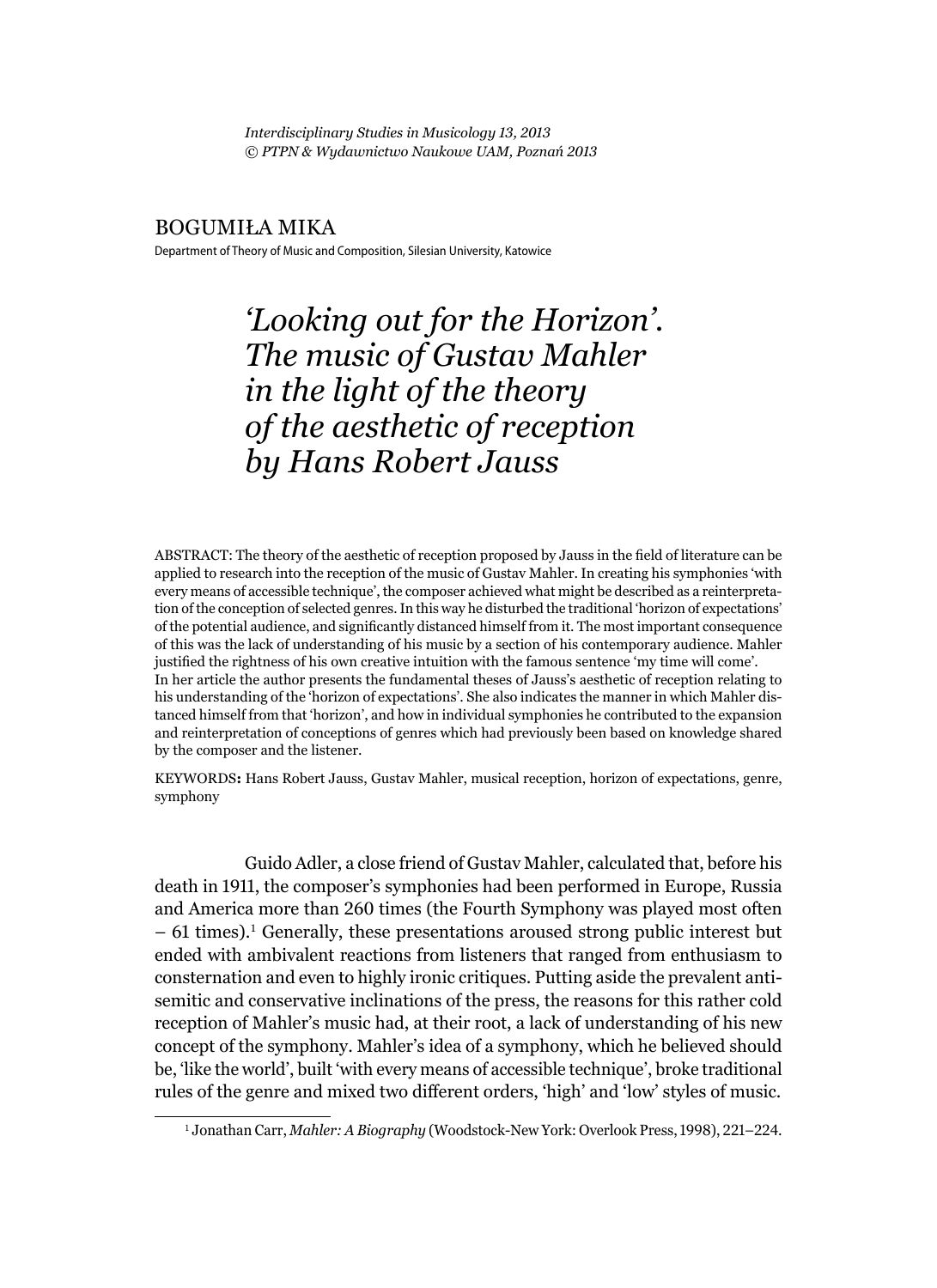*Interdisciplinary Studies in Musicology 13, 2013 © PTPN & Wydawnictwo Naukowe UAM, Poznań 2013*

#### BOGUMIŁA MIKA

Department of Theory of Music and Composition, Silesian University, Katowice

*'Looking out for the Horizon'. The music of Gustav Mahler in the light of the theory of the aesthetic of reception by Hans Robert Jauss*

ABSTRACT: The theory of the aesthetic of reception proposed by Jauss in the field of literature can be applied to research into the reception of the music of Gustav Mahler. In creating his symphonies 'with every means of accessible technique', the composer achieved what might be described as a reinterpretation of the conception of selected genres. In this way he disturbed the traditional 'horizon of expectations' of the potential audience, and significantly distanced himself from it. The most important consequence of this was the lack of understanding of his music by a section of his contemporary audience. Mahler justified the rightness of his own creative intuition with the famous sentence 'my time will come'. In her article the author presents the fundamental theses of Jauss's aesthetic of reception relating to his understanding of the 'horizon of expectations'. She also indicates the manner in which Mahler distanced himself from that 'horizon', and how in individual symphonies he contributed to the expansion and reinterpretation of conceptions of genres which had previously been based on knowledge shared by the composer and the listener.

KEYWORDS**:** Hans Robert Jauss, Gustav Mahler, musical reception, horizon of expectations, genre, symphony

Guido Adler, a close friend of Gustav Mahler, calculated that, before his death in 1911, the composer's symphonies had been performed in Europe, Russia and America more than 260 times (the Fourth Symphony was played most often  $-61$  times).<sup>1</sup> Generally, these presentations aroused strong public interest but ended with ambivalent reactions from listeners that ranged from enthusiasm to consternation and even to highly ironic critiques. Putting aside the prevalent antisemitic and conservative inclinations of the press, the reasons for this rather cold reception of Mahler's music had, at their root, a lack of understanding of his new concept of the symphony. Mahler's idea of a symphony, which he believed should be, 'like the world', built 'with every means of accessible technique', broke traditional rules of the genre and mixed two different orders, 'high' and 'low' styles of music.

<sup>1</sup> Jonathan Carr, *Mahler: A Biography* (Woodstock-New York: Overlook Press, 1998), 221–224.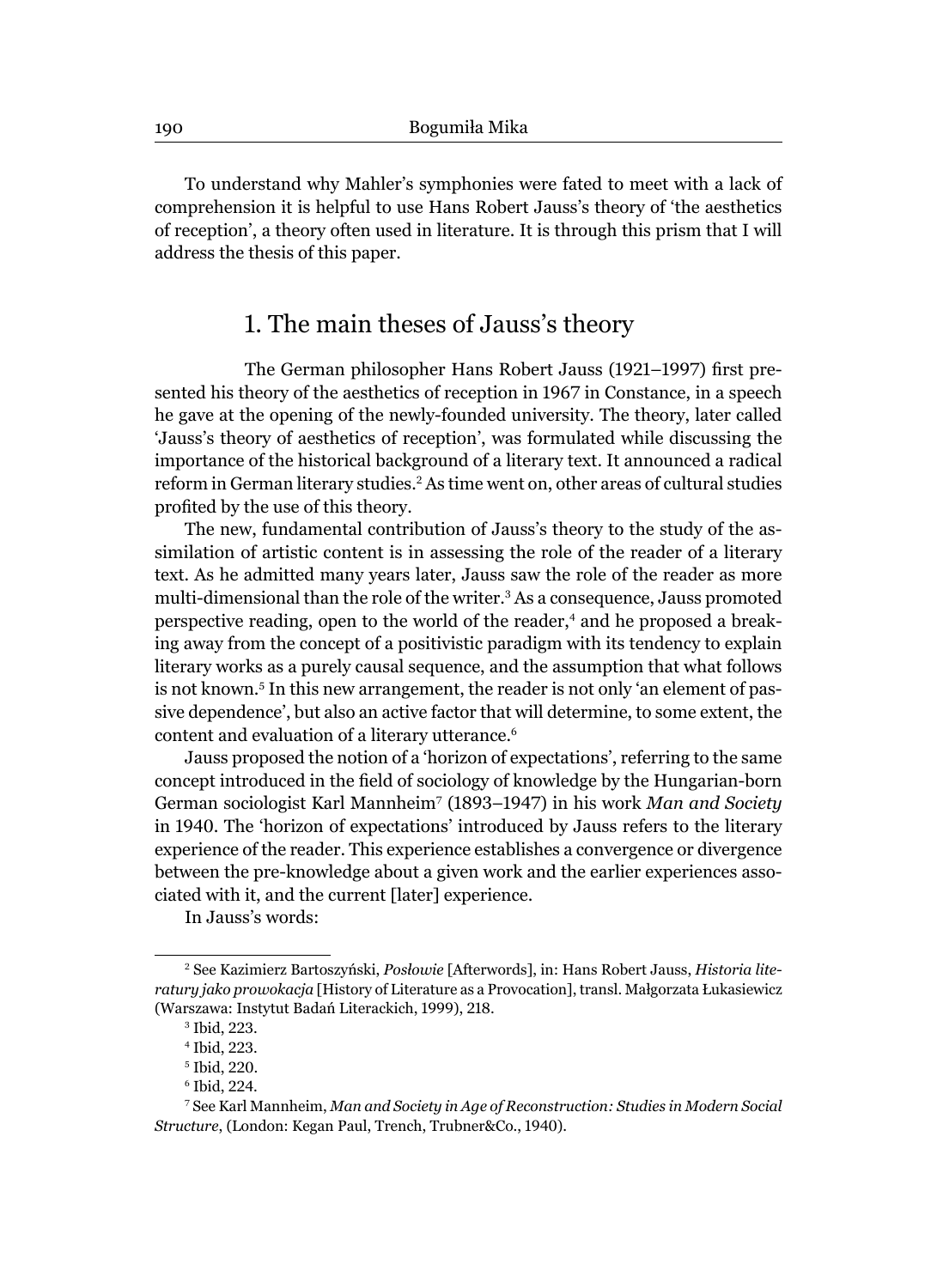To understand why Mahler's symphonies were fated to meet with a lack of comprehension it is helpful to use Hans Robert Jauss's theory of 'the aesthetics of reception', a theory often used in literature. It is through this prism that I will address the thesis of this paper.

## 1. The main theses of Jauss's theory

The German philosopher Hans Robert Jauss (1921–1997) first presented his theory of the aesthetics of reception in 1967 in Constance, in a speech he gave at the opening of the newly-founded university. The theory, later called 'Jauss's theory of aesthetics of reception', was formulated while discussing the importance of the historical background of a literary text. It announced a radical reform in German literary studies.<sup>2</sup> As time went on, other areas of cultural studies profited by the use of this theory.

The new, fundamental contribution of Jauss's theory to the study of the assimilation of artistic content is in assessing the role of the reader of a literary text. As he admitted many years later, Jauss saw the role of the reader as more multi-dimensional than the role of the writer.<sup>3</sup> As a consequence, Jauss promoted perspective reading, open to the world of the reader,<sup>4</sup> and he proposed a breaking away from the concept of a positivistic paradigm with its tendency to explain literary works as a purely causal sequence, and the assumption that what follows is not known.<sup>5</sup> In this new arrangement, the reader is not only 'an element of passive dependence', but also an active factor that will determine, to some extent, the content and evaluation of a literary utterance.<sup>6</sup>

Jauss proposed the notion of a 'horizon of expectations', referring to the same concept introduced in the field of sociology of knowledge by the Hungarian-born German sociologist Karl Mannheim7 (1893–1947) in his work *Man and Society* in 1940. The 'horizon of expectations' introduced by Jauss refers to the literary experience of the reader. This experience establishes a convergence or divergence between the pre-knowledge about a given work and the earlier experiences associated with it, and the current [later] experience.

In Jauss's words:

<sup>2</sup> See Kazimierz Bartoszyński, *Posłowie* [Afterwords], in: Hans Robert Jauss, *Historia literatury jako prowokacja* [History of Literature as a Provocation], transl. Małgorzata Łukasiewicz (Warszawa: Instytut Badań Literackich, 1999), 218.

<sup>3</sup> Ibid, 223.

<sup>4</sup> Ibid, 223.

<sup>5</sup> Ibid, 220.

<sup>6</sup> Ibid, 224.

<sup>7</sup> See Karl Mannheim, *Man and Society in Age of Reconstruction: Studies in Modern Social Structure*, (London: Kegan Paul, Trench, Trubner&Co., 1940).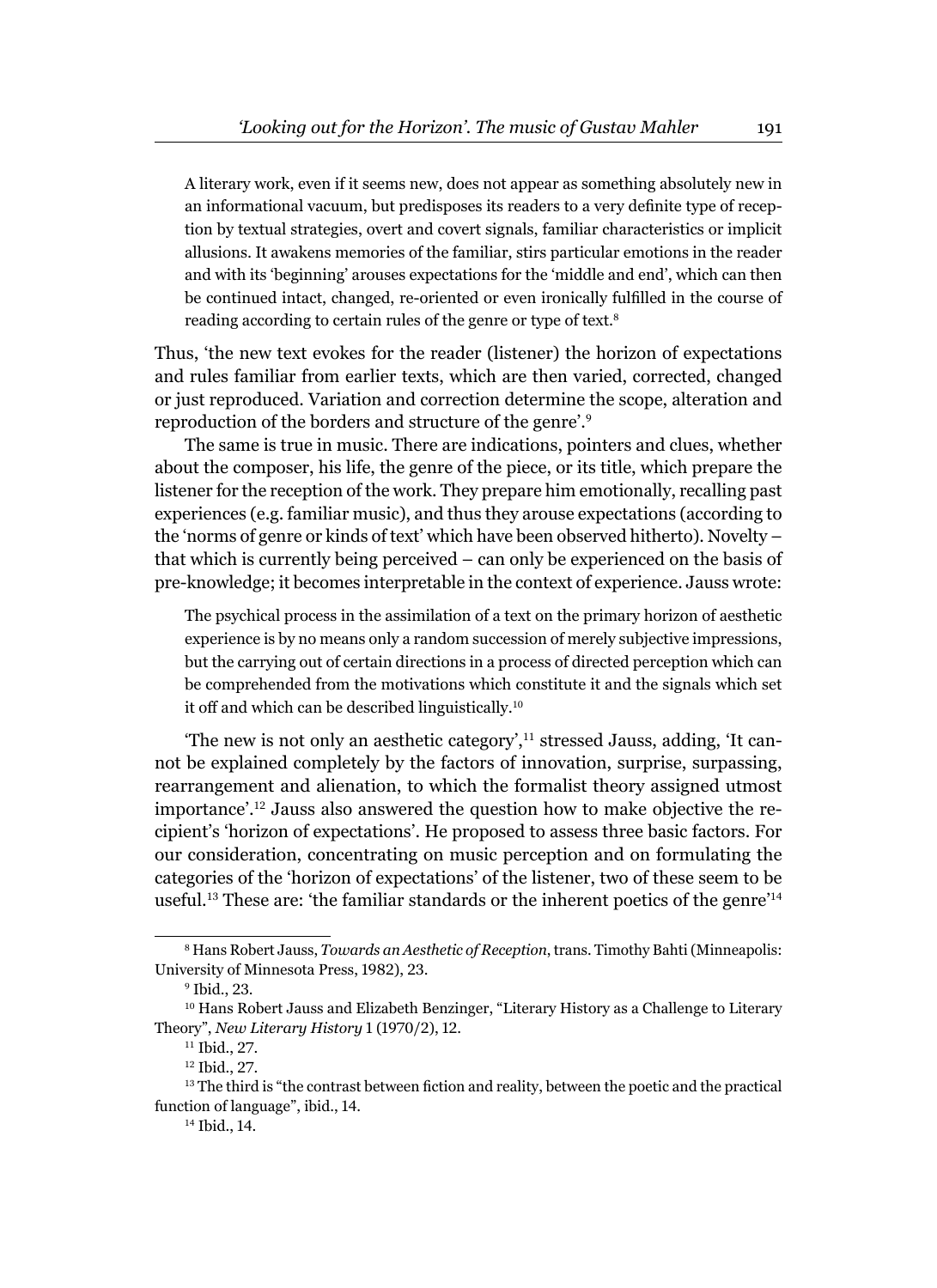A literary work, even if it seems new, does not appear as something absolutely new in an informational vacuum, but predisposes its readers to a very definite type of reception by textual strategies, overt and covert signals, familiar characteristics or implicit allusions. It awakens memories of the familiar, stirs particular emotions in the reader and with its 'beginning' arouses expectations for the 'middle and end', which can then be continued intact, changed, re-oriented or even ironically fulfilled in the course of reading according to certain rules of the genre or type of text.<sup>8</sup>

Thus, 'the new text evokes for the reader (listener) the horizon of expectations and rules familiar from earlier texts, which are then varied, corrected, changed or just reproduced. Variation and correction determine the scope, alteration and reproduction of the borders and structure of the genre'.<sup>9</sup>

The same is true in music. There are indications, pointers and clues, whether about the composer, his life, the genre of the piece, or its title, which prepare the listener for the reception of the work. They prepare him emotionally, recalling past experiences (e.g. familiar music), and thus they arouse expectations (according to the 'norms of genre or kinds of text' which have been observed hitherto). Novelty – that which is currently being perceived – can only be experienced on the basis of pre-knowledge; it becomes interpretable in the context of experience. Jauss wrote:

The psychical process in the assimilation of a text on the primary horizon of aesthetic experience is by no means only a random succession of merely subjective impressions, but the carrying out of certain directions in a process of directed perception which can be comprehended from the motivations which constitute it and the signals which set it off and which can be described linguistically.<sup>10</sup>

The new is not only an aesthetic category', $11$  stressed Jauss, adding, 'It cannot be explained completely by the factors of innovation, surprise, surpassing, rearrangement and alienation, to which the formalist theory assigned utmost importance'.12 Jauss also answered the question how to make objective the recipient's 'horizon of expectations'. He proposed to assess three basic factors. For our consideration, concentrating on music perception and on formulating the categories of the 'horizon of expectations' of the listener, two of these seem to be useful.13 These are: 'the familiar standards or the inherent poetics of the genre'<sup>14</sup>

<sup>8</sup> Hans Robert Jauss, *Towards an Aesthetic of Reception*, trans. Timothy Bahti (Minneapolis: University of Minnesota Press, 1982), 23.

<sup>9</sup> Ibid., 23.

<sup>10</sup> Hans Robert Jauss and Elizabeth Benzinger, "Literary History as a Challenge to Literary Theory", *New Literary History* 1 (1970/2), 12.

<sup>11</sup> Ibid., 27.

<sup>12</sup> Ibid., 27.

 $13$  The third is "the contrast between fiction and reality, between the poetic and the practical function of language", ibid., 14.

<sup>14</sup> Ibid., 14.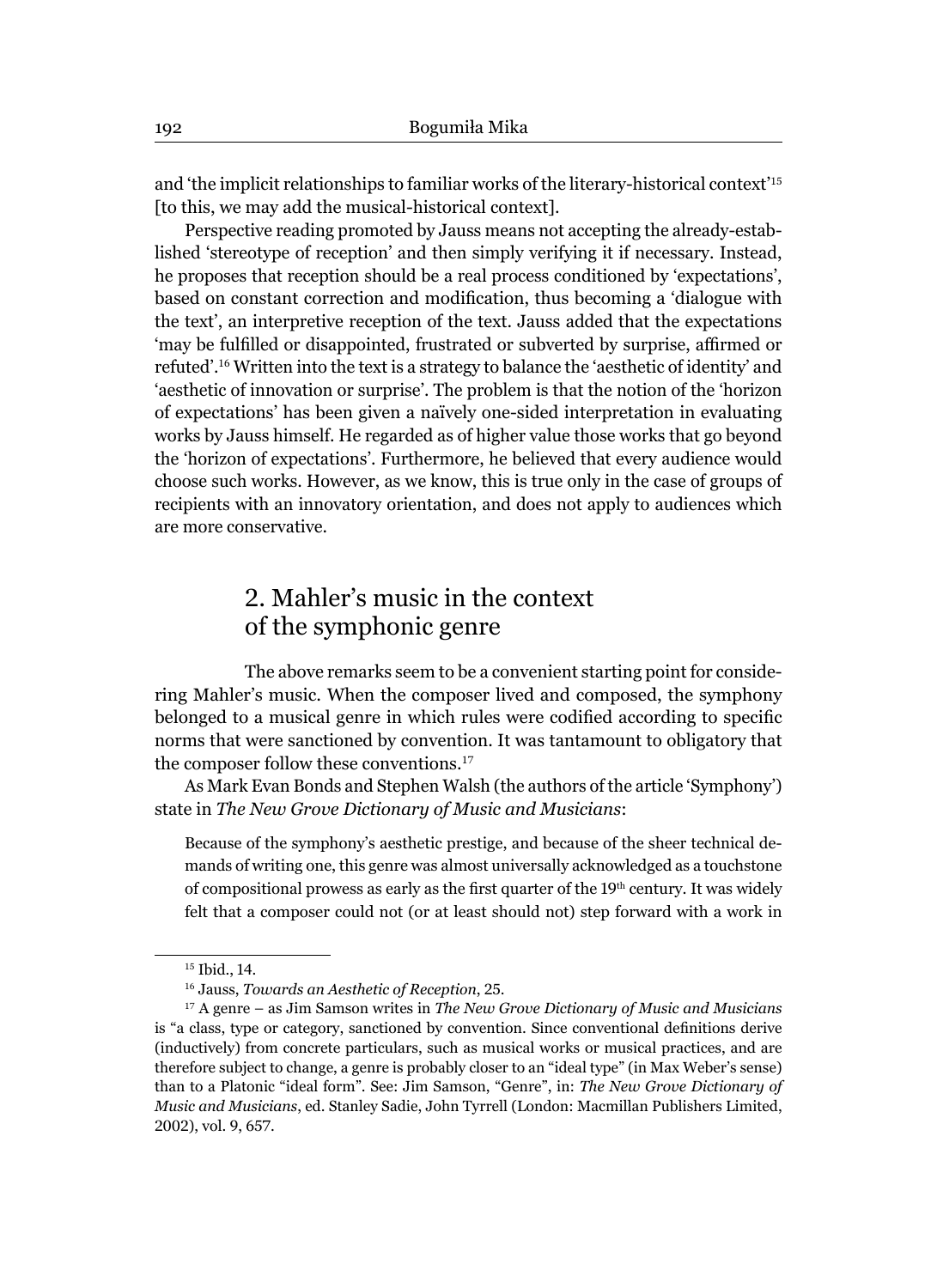and 'the implicit relationships to familiar works of the literary-historical context'<sup>15</sup> [to this, we may add the musical-historical context].

Perspective reading promoted by Jauss means not accepting the already-established 'stereotype of reception' and then simply verifying it if necessary. Instead, he proposes that reception should be a real process conditioned by 'expectations', based on constant correction and modification, thus becoming a 'dialogue with the text', an interpretive reception of the text. Jauss added that the expectations 'may be fulfilled or disappointed, frustrated or subverted by surprise, affirmed or refuted'.<sup>16</sup> Written into the text is a strategy to balance the 'aesthetic of identity' and 'aesthetic of innovation or surprise'. The problem is that the notion of the 'horizon of expectations' has been given a naïvely one-sided interpretation in evaluating works by Jauss himself. He regarded as of higher value those works that go beyond the 'horizon of expectations'. Furthermore, he believed that every audience would choose such works. However, as we know, this is true only in the case of groups of recipients with an innovatory orientation, and does not apply to audiences which are more conservative.

# 2. Mahler's music in the context of the symphonic genre

The above remarks seem to be a convenient starting point for considering Mahler's music. When the composer lived and composed, the symphony belonged to a musical genre in which rules were codified according to specific norms that were sanctioned by convention. It was tantamount to obligatory that the composer follow these conventions.<sup>17</sup>

As Mark Evan Bonds and Stephen Walsh (the authors of the article 'Symphony') state in *The New Grove Dictionary of Music and Musicians*:

Because of the symphony's aesthetic prestige, and because of the sheer technical demands of writing one, this genre was almost universally acknowledged as a touchstone of compositional prowess as early as the first quarter of the 19<sup>th</sup> century. It was widely felt that a composer could not (or at least should not) step forward with a work in

<sup>&</sup>lt;sup>15</sup> Ibid., 14.

<sup>16</sup> Jauss, *Towards an Aesthetic of Reception*, 25.

<sup>17</sup> A genre – as Jim Samson writes in *The New Grove Dictionary of Music and Musicians* is "a class, type or category, sanctioned by convention. Since conventional definitions derive (inductively) from concrete particulars, such as musical works or musical practices, and are therefore subject to change, a genre is probably closer to an "ideal type" (in Max Weber's sense) than to a Platonic "ideal form". See: Jim Samson, "Genre", in: *The New Grove Dictionary of Music and Musicians*, ed. Stanley Sadie, John Tyrrell (London: Macmillan Publishers Limited, 2002), vol. 9, 657.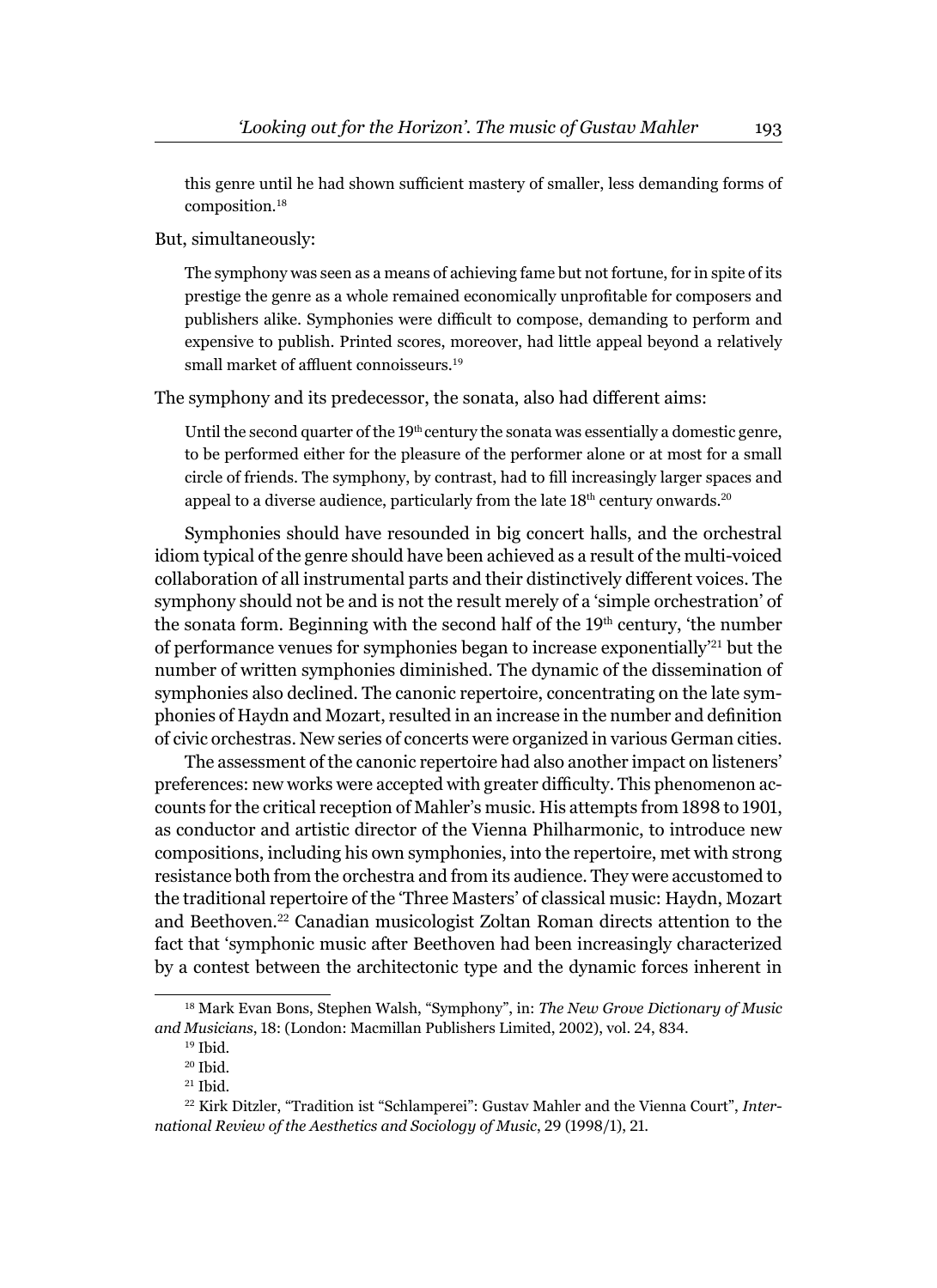this genre until he had shown sufficient mastery of smaller, less demanding forms of composition.<sup>18</sup>

But, simultaneously:

The symphony was seen as a means of achieving fame but not fortune, for in spite of its prestige the genre as a whole remained economically unprofitable for composers and publishers alike. Symphonies were difficult to compose, demanding to perform and expensive to publish. Printed scores, moreover, had little appeal beyond a relatively small market of affluent connoisseurs.<sup>19</sup>

The symphony and its predecessor, the sonata, also had different aims:

Until the second quarter of the  $19<sup>th</sup>$  century the sonata was essentially a domestic genre, to be performed either for the pleasure of the performer alone or at most for a small circle of friends. The symphony, by contrast, had to fill increasingly larger spaces and appeal to a diverse audience, particularly from the late 18<sup>th</sup> century onwards.<sup>20</sup>

Symphonies should have resounded in big concert halls, and the orchestral idiom typical of the genre should have been achieved as a result of the multi-voiced collaboration of all instrumental parts and their distinctively different voices. The symphony should not be and is not the result merely of a 'simple orchestration' of the sonata form. Beginning with the second half of the  $19<sup>th</sup>$  century, 'the number of performance venues for symphonies began to increase exponentially'21 but the number of written symphonies diminished. The dynamic of the dissemination of symphonies also declined. The canonic repertoire, concentrating on the late symphonies of Haydn and Mozart, resulted in an increase in the number and definition of civic orchestras. New series of concerts were organized in various German cities.

The assessment of the canonic repertoire had also another impact on listeners' preferences: new works were accepted with greater difficulty. This phenomenon accounts for the critical reception of Mahler's music. His attempts from 1898 to 1901, as conductor and artistic director of the Vienna Philharmonic, to introduce new compositions, including his own symphonies, into the repertoire, met with strong resistance both from the orchestra and from its audience. They were accustomed to the traditional repertoire of the 'Three Masters' of classical music: Haydn, Mozart and Beethoven.22 Canadian musicologist Zoltan Roman directs attention to the fact that 'symphonic music after Beethoven had been increasingly characterized by a contest between the architectonic type and the dynamic forces inherent in

<sup>18</sup> Mark Evan Bons, Stephen Walsh, "Symphony", in: *The New Grove Dictionary of Music and Musicians*, 18: (London: Macmillan Publishers Limited, 2002), vol. 24, 834.

 $19$  Ibid.

<sup>20</sup> Ibid.

 $21$  Ibid.

<sup>22</sup> Kirk Ditzler, "Tradition ist "Schlamperei": Gustav Mahler and the Vienna Court", *International Review of the Aesthetics and Sociology of Music*, 29 (1998/1), 21.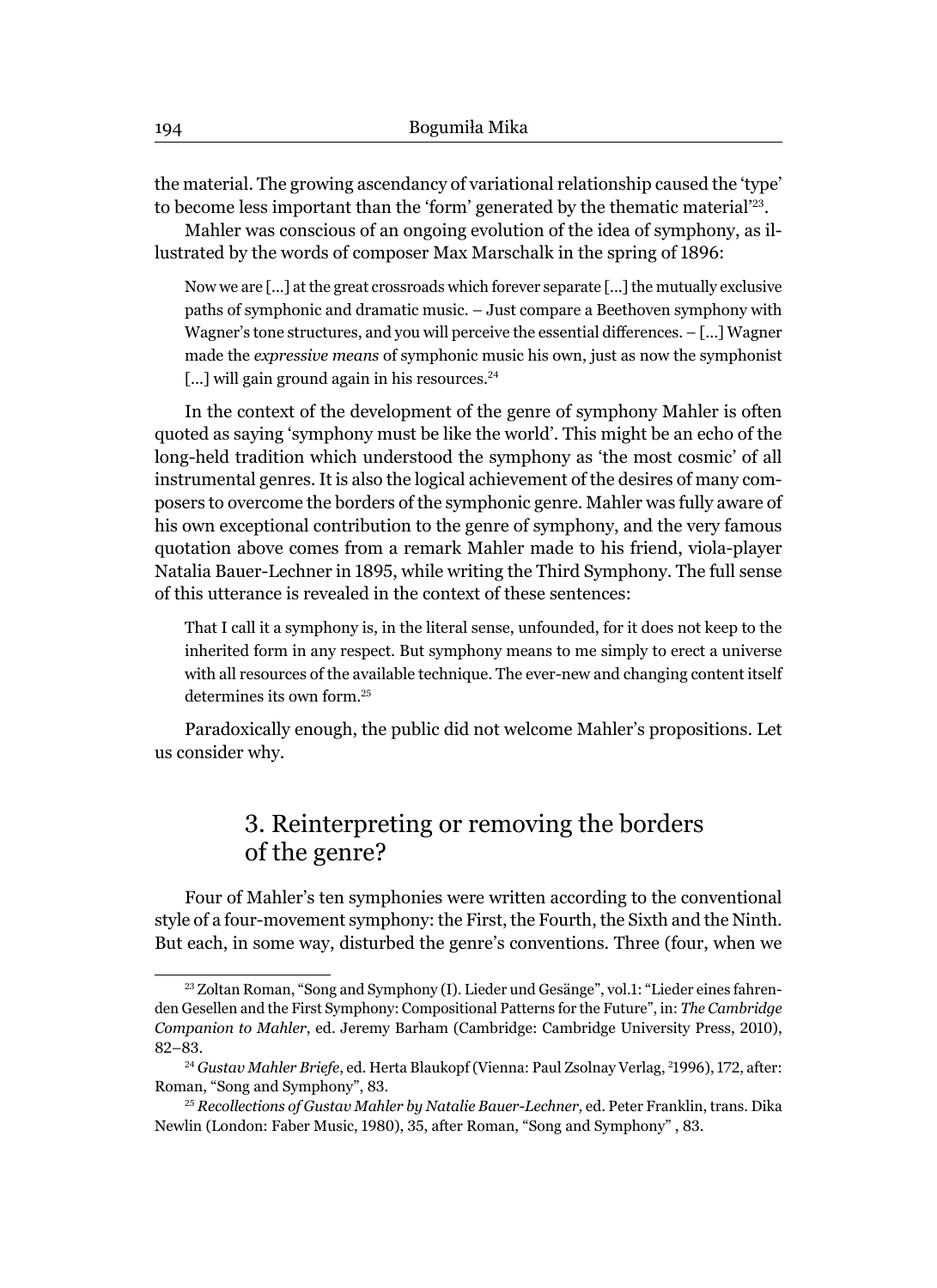the material. The growing ascendancy of variational relationship caused the 'type' to become less important than the 'form' generated by the thematic material'23.

Mahler was conscious of an ongoing evolution of the idea of symphony, as illustrated by the words of composer Max Marschalk in the spring of 1896:

Now we are [...] at the great crossroads which forever separate [...] the mutually exclusive paths of symphonic and dramatic music. – Just compare a Beethoven symphony with Wagner's tone structures, and you will perceive the essential differences. - [...] Wagner made the *expressive means* of symphonic music his own, just as now the symphonist [...] will gain ground again in his resources.<sup>24</sup>

In the context of the development of the genre of symphony Mahler is often quoted as saying 'symphony must be like the world'. This might be an echo of the long-held tradition which understood the symphony as 'the most cosmic' of all instrumental genres. It is also the logical achievement of the desires of many composers to overcome the borders of the symphonic genre. Mahler was fully aware of his own exceptional contribution to the genre of symphony, and the very famous quotation above comes from a remark Mahler made to his friend, viola-player Natalia Bauer-Lechner in 1895, while writing the Third Symphony. The full sense of this utterance is revealed in the context of these sentences:

That I call it a symphony is, in the literal sense, unfounded, for it does not keep to the inherited form in any respect. But symphony means to me simply to erect a universe with all resources of the available technique. The ever-new and changing content itself determines its own form.<sup>25</sup>

Paradoxically enough, the public did not welcome Mahler's propositions. Let us consider why.

# 3. Reinterpreting or removing the borders of the genre?

Four of Mahler's ten symphonies were written according to the conventional style of a four-movement symphony: the First, the Fourth, the Sixth and the Ninth. But each, in some way, disturbed the genre's conventions. Three (four, when we

<sup>23</sup> Zoltan Roman, "Song and Symphony (I). Lieder und Gesänge", vol.1: "Lieder eines fahrenden Gesellen and the First Symphony: Compositional Patterns for the Future", in: *The Cambridge Companion to Mahler*, ed. Jeremy Barham (Cambridge: Cambridge University Press, 2010), 82–83.

<sup>24</sup> *Gustav Mahler Briefe*, ed. Herta Blaukopf (Vienna: Paul Zsolnay Verlag, <sup>2</sup> 1996), 172, after: Roman, "Song and Symphony", 83.

<sup>25</sup> *Recollections of Gustav Mahler by Natalie Bauer-Lechner,* ed. Peter Franklin, trans. Dika Newlin (London: Faber Music, 1980), 35, after Roman, "Song and Symphony" , 83.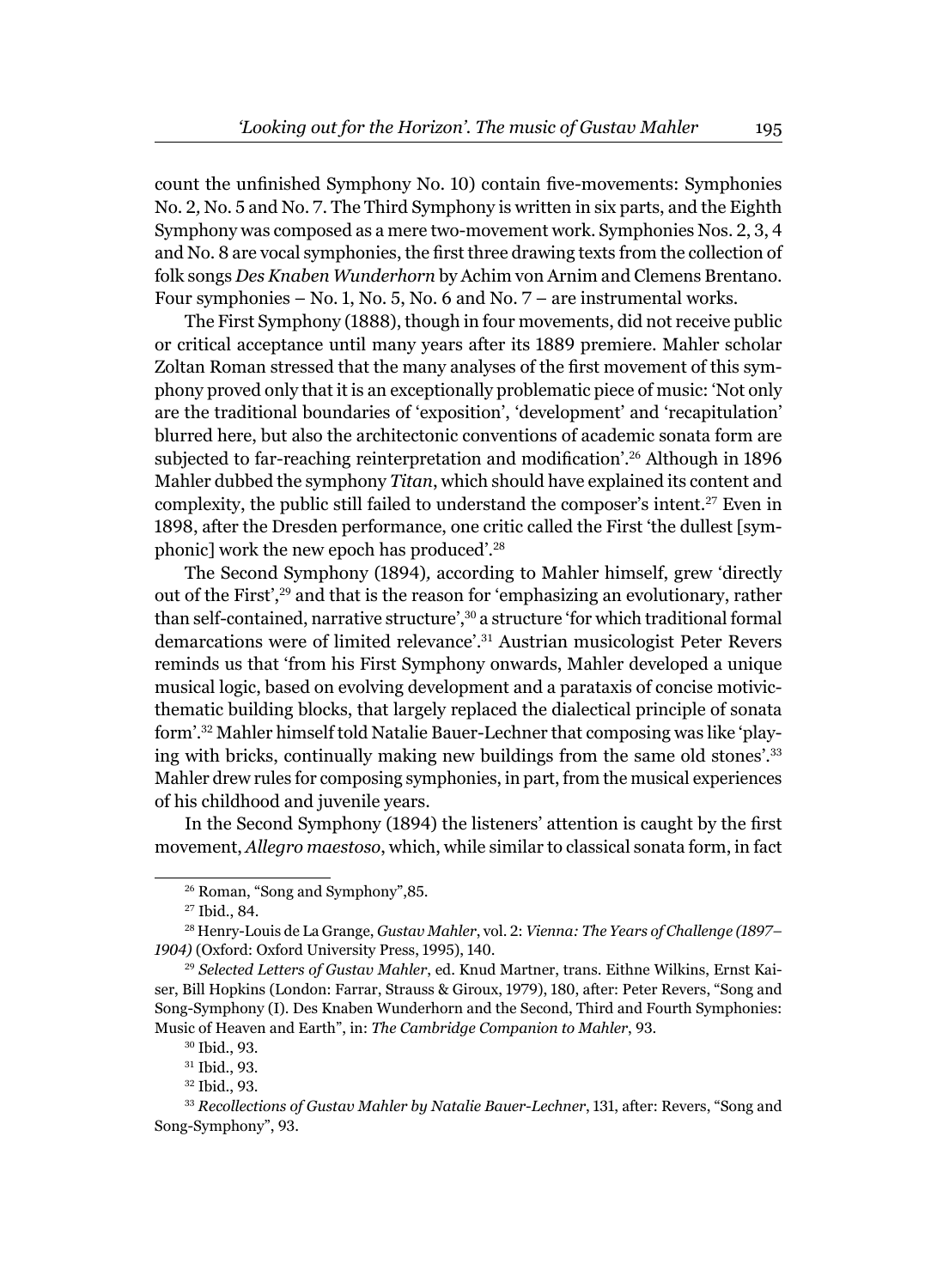count the unfinished Symphony No. 10) contain five-movements: Symphonies No. 2*,* No. 5 and No. 7. The Third Symphony is written in six parts, and the Eighth Symphony was composed as a mere two-movement work. Symphonies Nos. 2, 3, 4 and No. 8 are vocal symphonies, the first three drawing texts from the collection of folk songs *Des Knaben Wunderhorn* by Achim von Arnim and Clemens Brentano. Four symphonies – No. 1, No. 5, No. 6 and No. 7 – are instrumental works.

The First Symphony (1888), though in four movements, did not receive public or critical acceptance until many years after its 1889 premiere. Mahler scholar Zoltan Roman stressed that the many analyses of the first movement of this symphony proved only that it is an exceptionally problematic piece of music: 'Not only are the traditional boundaries of 'exposition', 'development' and 'recapitulation' blurred here, but also the architectonic conventions of academic sonata form are subjected to far-reaching reinterpretation and modification'.<sup>26</sup> Although in 1896 Mahler dubbed the symphony *Titan*, which should have explained its content and complexity, the public still failed to understand the composer's intent.27 Even in 1898, after the Dresden performance, one critic called the First 'the dullest [symphonic] work the new epoch has produced'.<sup>28</sup>

The Second Symphony (1894)*,* according to Mahler himself, grew 'directly out of the First',29 and that is the reason for 'emphasizing an evolutionary, rather than self-contained, narrative structure',<sup>30</sup> a structure 'for which traditional formal demarcations were of limited relevance'.31 Austrian musicologist Peter Revers reminds us that 'from his First Symphony onwards, Mahler developed a unique musical logic, based on evolving development and a parataxis of concise motivicthematic building blocks, that largely replaced the dialectical principle of sonata form'.32 Mahler himself told Natalie Bauer-Lechner that composing was like 'playing with bricks, continually making new buildings from the same old stones'.<sup>33</sup> Mahler drew rules for composing symphonies, in part, from the musical experiences of his childhood and juvenile years.

In the Second Symphony (1894) the listeners' attention is caught by the first movement, *Allegro maestoso*, which, while similar to classical sonata form, in fact

<sup>26</sup> Roman, "Song and Symphony",85.

<sup>27</sup> Ibid., 84.

<sup>28</sup> Henry-Louis de La Grange, *Gustav Mahler*, vol. 2: *Vienna: The Years of Challenge (1897– 1904)* (Oxford: Oxford University Press, 1995), 140.

<sup>29</sup> *Selected Letters of Gustav Mahler*, ed. Knud Martner, trans. Eithne Wilkins, Ernst Kaiser, Bill Hopkins (London: Farrar, Strauss & Giroux, 1979), 180, after: Peter Revers, "Song and Song-Symphony (I). Des Knaben Wunderhorn and the Second, Third and Fourth Symphonies: Music of Heaven and Earth", in: *The Cambridge Companion to Mahler*, 93.

<sup>30</sup> Ibid., 93.

<sup>31</sup> Ibid., 93.

<sup>32</sup> Ibid., 93.

<sup>33</sup> *Recollections of Gustav Mahler by Natalie Bauer-Lechner*, 131, after: Revers, "Song and Song-Symphony", 93.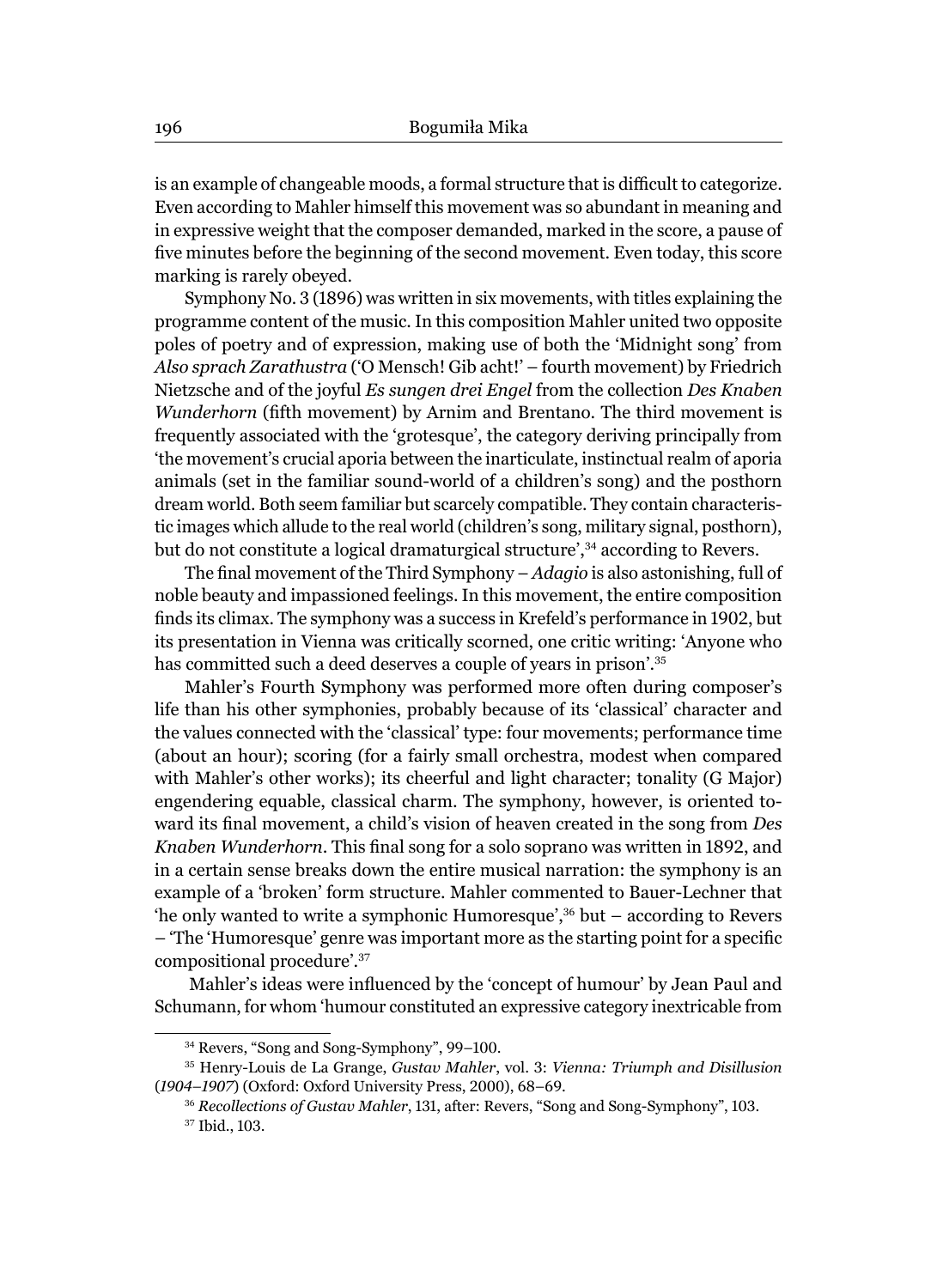is an example of changeable moods, a formal structure that is difficult to categorize. Even according to Mahler himself this movement was so abundant in meaning and in expressive weight that the composer demanded, marked in the score, a pause of five minutes before the beginning of the second movement. Even today, this score marking is rarely obeyed.

Symphony No. 3 (1896) was written in six movements, with titles explaining the programme content of the music. In this composition Mahler united two opposite poles of poetry and of expression, making use of both the 'Midnight song' from *Also sprach Zarathustra* ('O Mensch! Gib acht!' – fourth movement) by Friedrich Nietzsche and of the joyful *Es sungen drei Engel* from the collection *Des Knaben Wunderhorn* (fifth movement) by Arnim and Brentano. The third movement is frequently associated with the 'grotesque', the category deriving principally from 'the movement's crucial aporia between the inarticulate, instinctual realm of aporia animals (set in the familiar sound-world of a children's song) and the posthorn dream world. Both seem familiar but scarcely compatible. They contain characteristic images which allude to the real world (children's song, military signal, posthorn), but do not constitute a logical dramaturgical structure',<sup>34</sup> according to Revers.

The final movement of the Third Symphony – *Adagio* is also astonishing, full of noble beauty and impassioned feelings. In this movement, the entire composition finds its climax. The symphony was a success in Krefeld's performance in 1902, but its presentation in Vienna was critically scorned, one critic writing: 'Anyone who has committed such a deed deserves a couple of years in prison'.<sup>35</sup>

Mahler's Fourth Symphony was performed more often during composer's life than his other symphonies, probably because of its 'classical' character and the values connected with the 'classical' type: four movements; performance time (about an hour); scoring (for a fairly small orchestra, modest when compared with Mahler's other works); its cheerful and light character; tonality (G Major) engendering equable, classical charm. The symphony, however, is oriented toward its final movement, a child's vision of heaven created in the song from *Des Knaben Wunderhorn*. This final song for a solo soprano was written in 1892, and in a certain sense breaks down the entire musical narration: the symphony is an example of a 'broken' form structure. Mahler commented to Bauer-Lechner that 'he only wanted to write a symphonic Humoresque',36 but – according to Revers – 'The 'Humoresque' genre was important more as the starting point for a specific compositional procedure'.<sup>37</sup>

Mahler's ideas were influenced by the 'concept of humour' by Jean Paul and Schumann, for whom 'humour constituted an expressive category inextricable from

<sup>34</sup> Revers, "Song and Song-Symphony", 99–100.

<sup>35</sup> Henry-Louis de La Grange, *Gustav Mahler*, vol. 3: *Vienna: Triumph and Disillusion*  (*1904–1907*) (Oxford: Oxford University Press, 2000), 68–69.

<sup>36</sup> *Recollections of Gustav Mahler*, 131, after: Revers, "Song and Song-Symphony", 103.

<sup>37</sup> Ibid., 103.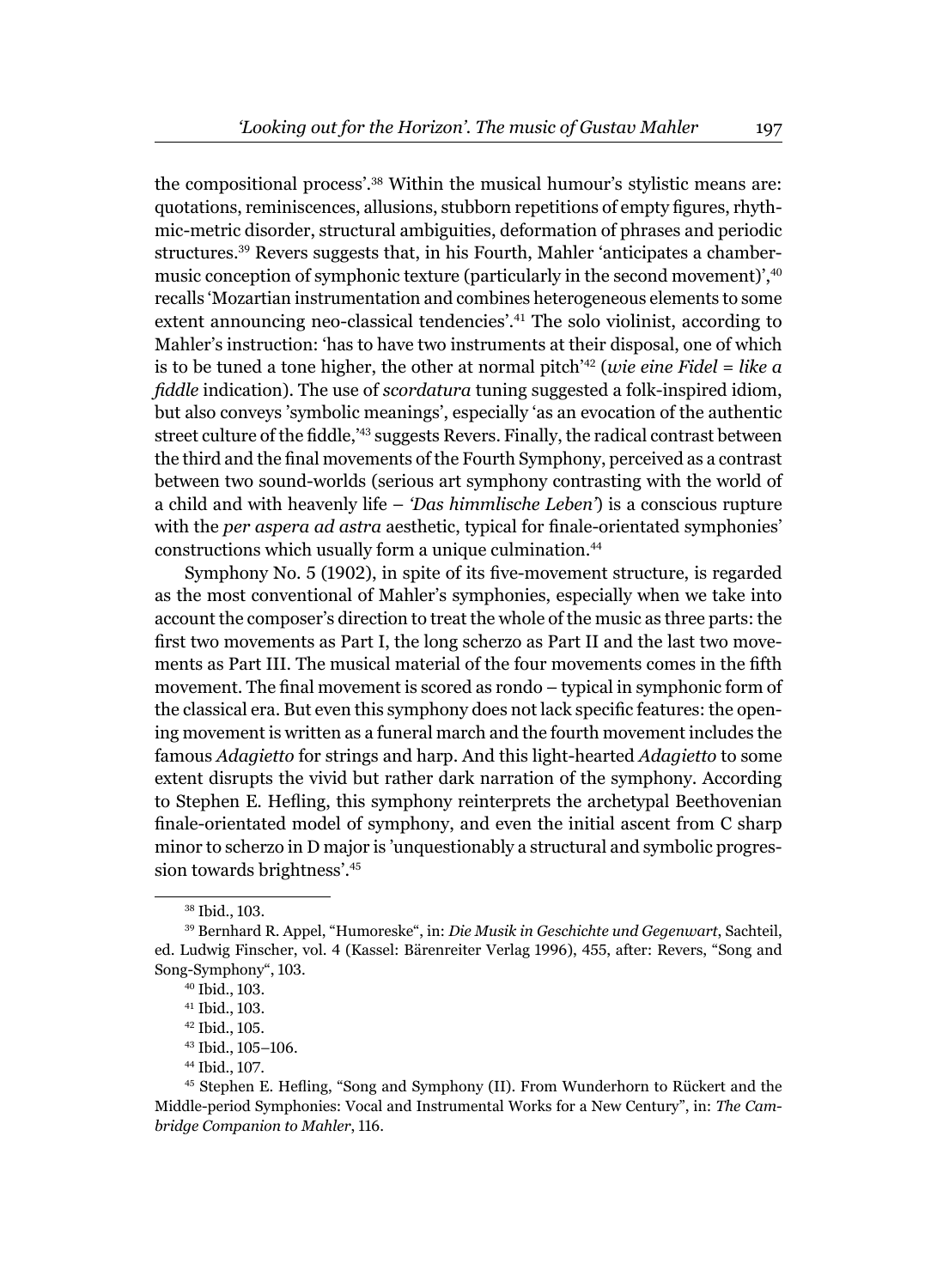the compositional process'.38 Within the musical humour's stylistic means are: quotations, reminiscences, allusions, stubborn repetitions of empty figures, rhythmic-metric disorder, structural ambiguities, deformation of phrases and periodic structures.39 Revers suggests that, in his Fourth, Mahler 'anticipates a chambermusic conception of symphonic texture (particularly in the second movement)',<sup>40</sup> recalls 'Mozartian instrumentation and combines heterogeneous elements to some extent announcing neo-classical tendencies'.41 The solo violinist, according to Mahler's instruction: 'has to have two instruments at their disposal, one of which is to be tuned a tone higher, the other at normal pitch'42 (*wie eine Fidel* = *like a fi ddle* indication). The use of *scordatura* tuning suggested a folk-inspired idiom, but also conveys 'symbolic meanings', especially 'as an evocation of the authentic street culture of the fiddle,<sup>43</sup> suggests Revers. Finally, the radical contrast between the third and the final movements of the Fourth Symphony, perceived as a contrast between two sound-worlds (serious art symphony contrasting with the world of a child and with heavenly life – *'Das himmlische Leben'*) is a conscious rupture with the *per aspera ad astra* aesthetic, typical for finale-orientated symphonies' constructions which usually form a unique culmination.<sup>44</sup>

Symphony No. 5 (1902), in spite of its five-movement structure, is regarded as the most conventional of Mahler's symphonies, especially when we take into account the composer's direction to treat the whole of the music as three parts: the first two movements as Part I, the long scherzo as Part II and the last two movements as Part III. The musical material of the four movements comes in the fifth movement. The final movement is scored as rondo – typical in symphonic form of the classical era. But even this symphony does not lack specific features: the opening movement is written as a funeral march and the fourth movement includes the famous *Adagietto* for strings and harp. And this light-hearted *Adagietto* to some extent disrupts the vivid but rather dark narration of the symphony. According to Stephen E. Hefling, this symphony reinterprets the archetypal Beethovenian finale-orientated model of symphony, and even the initial ascent from C sharp minor to scherzo in D major is 'unquestionably a structural and symbolic progression towards brightness'.<sup>45</sup>

<sup>38</sup> Ibid., 103.

<sup>39</sup> Bernhard R. Appel, "Humoreske", in: *Die Musik in Geschichte und Gegenwart*, Sachteil, ed. Ludwig Finscher, vol. 4 (Kassel: Bärenreiter Verlag 1996), 455, after: Revers, "Song and Song-Symphony", 103.

<sup>40</sup> Ibid., 103.

<sup>41</sup> Ibid., 103.

<sup>42</sup> Ibid., 105.

<sup>43</sup> Ibid., 105–106.

<sup>44</sup> Ibid., 107.

<sup>&</sup>lt;sup>45</sup> Stephen E. Hefling, "Song and Symphony (II). From Wunderhorn to Rückert and the Middle-period Symphonies: Vocal and Instrumental Works for a New Century", in: *The Cambridge Companion to Mahler*, 116.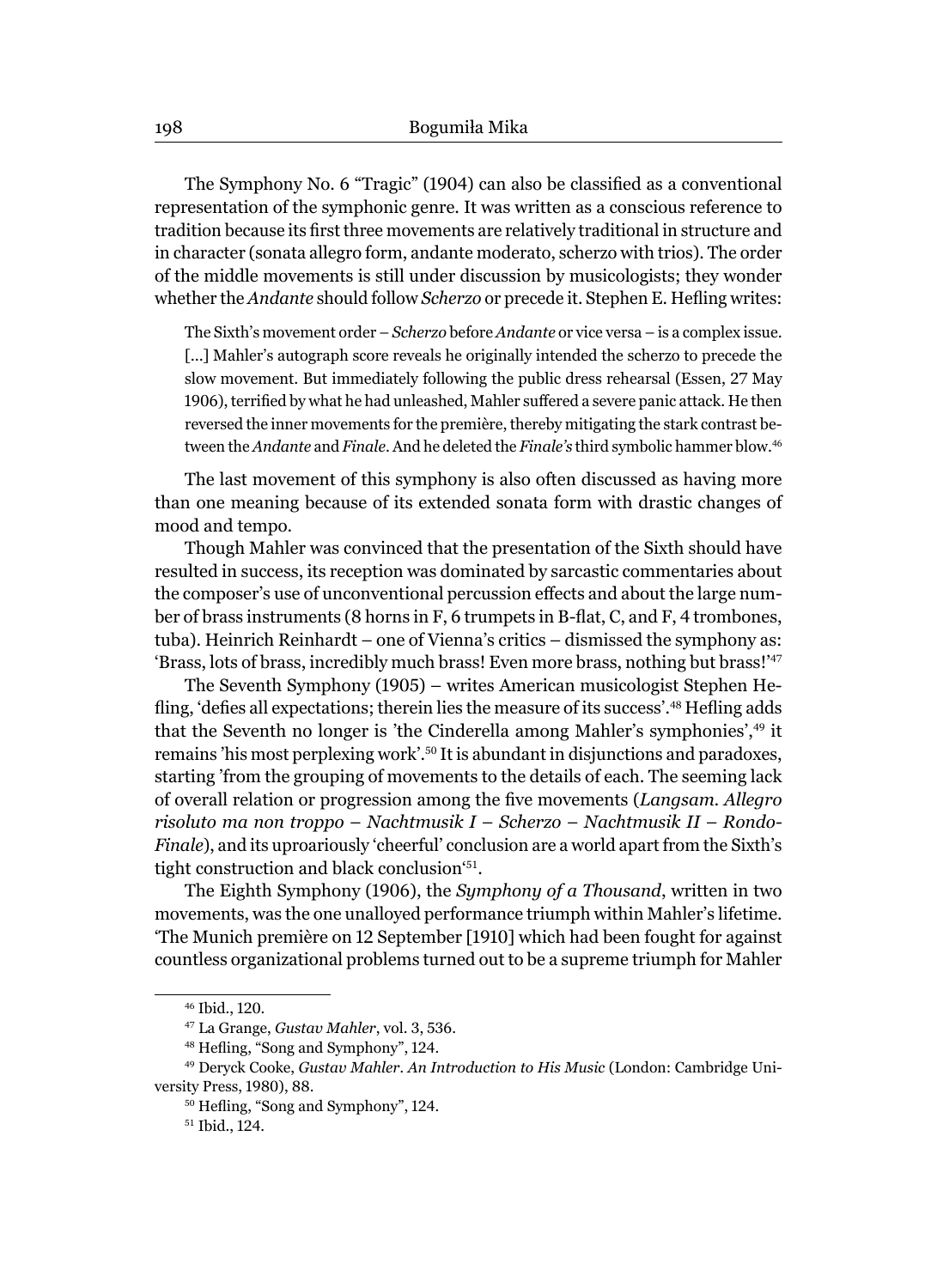The Symphony No. 6 "Tragic" (1904) can also be classified as a conventional representation of the symphonic genre. It was written as a conscious reference to tradition because its first three movements are relatively traditional in structure and in character (sonata allegro form, andante moderato, scherzo with trios). The order of the middle movements is still under discussion by musicologists; they wonder whether the *Andante* should follow *Scherzo* or precede it. Stephen E. Hefling writes:

The Sixth's movement order – *Scherzo* before *Andante* or vice versa – is a complex issue. [...] Mahler's autograph score reveals he originally intended the scherzo to precede the slow movement. But immediately following the public dress rehearsal (Essen, 27 May 1906), terrified by what he had unleashed, Mahler suffered a severe panic attack. He then reversed the inner movements for the première, thereby mitigating the stark contrast between the *Andante* and *Finale*. And he deleted the *Finale's* third symbolic hammer blow.<sup>46</sup>

The last movement of this symphony is also often discussed as having more than one meaning because of its extended sonata form with drastic changes of mood and tempo.

Though Mahler was convinced that the presentation of the Sixth should have resulted in success, its reception was dominated by sarcastic commentaries about the composer's use of unconventional percussion effects and about the large number of brass instruments (8 horns in F, 6 trumpets in B-flat, C, and F, 4 trombones, tuba). Heinrich Reinhardt – one of Vienna's critics – dismissed the symphony as: 'Brass, lots of brass, incredibly much brass! Even more brass, nothing but brass!'<sup>47</sup>

The Seventh Symphony (1905) – writes American musicologist Stephen Hefling, 'defies all expectations; therein lies the measure of its success'.<sup>48</sup> Hefling adds that the Seventh no longer is 'the Cinderella among Mahler's symphonies',49 it remains 'his most perplexing work'.<sup>50</sup> It is abundant in disjunctions and paradoxes, starting 'from the grouping of movements to the details of each. The seeming lack of overall relation or progression among the five movements (Langsam. Allegro *risoluto ma non troppo* – *Nachtmusik I* – *Scherzo* – *Nachtmusik II* – *Rondo-Finale*), and its uproariously 'cheerful' conclusion are a world apart from the Sixth's tight construction and black conclusion'51.

The Eighth Symphony (1906), the *Symphony of a Thousand*, written in two movements, was the one unalloyed performance triumph within Mahler's lifetime. 'The Munich première on 12 September [1910] which had been fought for against countless organizational problems turned out to be a supreme triumph for Mahler

<sup>46</sup> Ibid., 120.

<sup>47</sup> La Grange, *Gustav Mahler*, vol. 3, 536.

<sup>&</sup>lt;sup>48</sup> Hefling, "Song and Symphony", 124.

<sup>49</sup> Deryck Cooke, *Gustav Mahler. An Introduction to His Music* (London: Cambridge University Press, 1980), 88.

<sup>&</sup>lt;sup>50</sup> Hefling, "Song and Symphony", 124.

<sup>51</sup> Ibid., 124.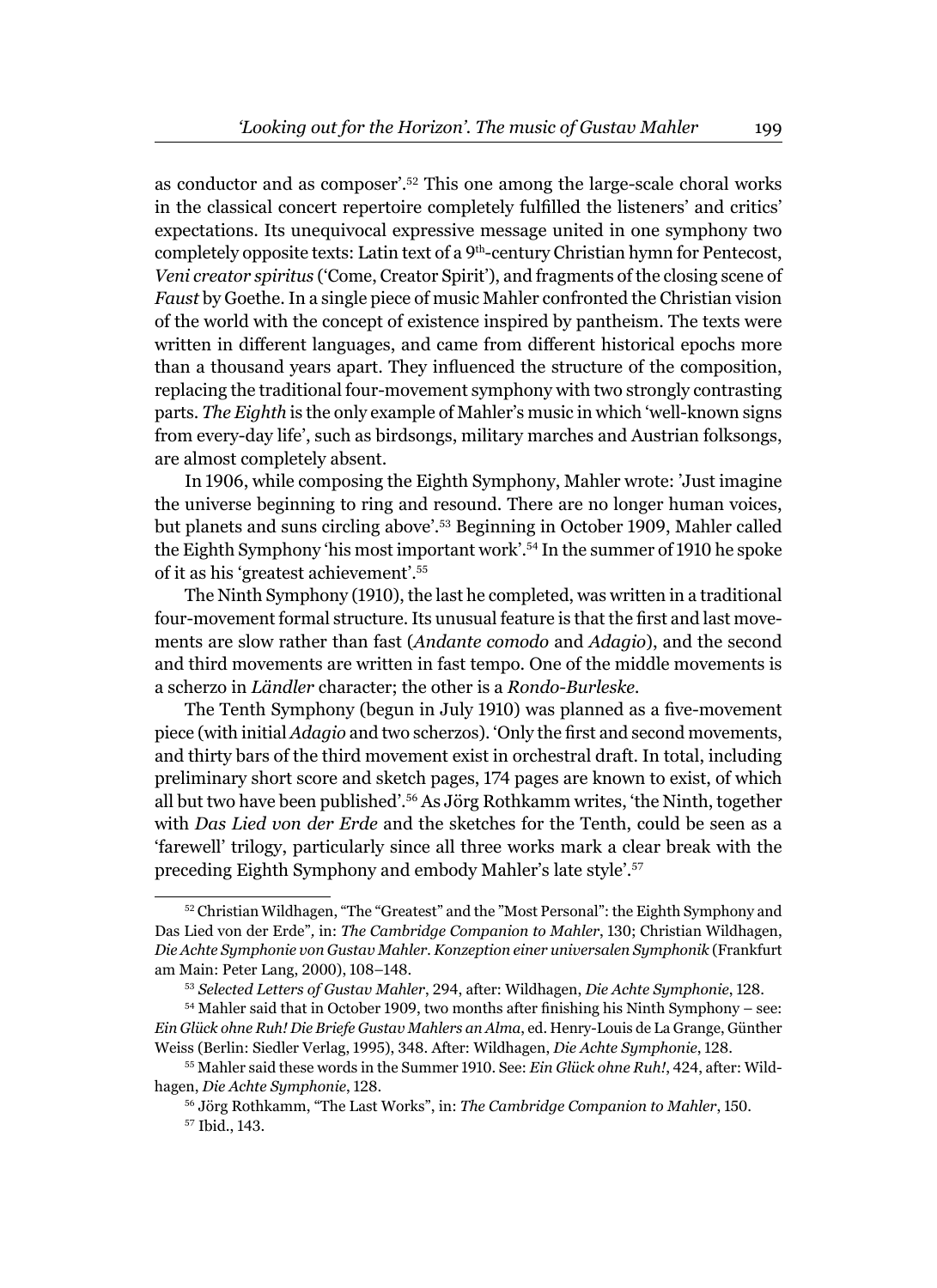as conductor and as composer'.52 This one among the large-scale choral works in the classical concert repertoire completely fulfilled the listeners' and critics' expectations. Its unequivocal expressive message united in one symphony two completely opposite texts: Latin text of a 9<sup>th</sup>-century Christian hymn for Pentecost, *Veni creator spiritus* ('Come, Creator Spirit'), and fragments of the closing scene of *Faust* by Goethe. In a single piece of music Mahler confronted the Christian vision of the world with the concept of existence inspired by pantheism. The texts were written in different languages, and came from different historical epochs more than a thousand years apart. They influenced the structure of the composition, replacing the traditional four-movement symphony with two strongly contrasting parts. *The Eighth* is the only example of Mahler's music in which 'well-known signs from every-day life', such as birdsongs, military marches and Austrian folksongs, are almost completely absent.

In 1906, while composing the Eighth Symphony, Mahler wrote: 'Just imagine the universe beginning to ring and resound. There are no longer human voices, but planets and suns circling above'.53 Beginning in October 1909, Mahler called the Eighth Symphony 'his most important work'.54 In the summer of 1910 he spoke of it as his 'greatest achievement'.<sup>55</sup>

The Ninth Symphony (1910), the last he completed, was written in a traditional four-movement formal structure. Its unusual feature is that the first and last movements are slow rather than fast (*Andante comodo* and *Adagio*), and the second and third movements are written in fast tempo. One of the middle movements is a scherzo in *Ländler* character; the other is a *Rondo-Burleske.*

The Tenth Symphony (begun in July 1910) was planned as a five-movement piece (with initial *Adagio* and two scherzos). 'Only the first and second movements, and thirty bars of the third movement exist in orchestral draft. In total, including preliminary short score and sketch pages, 174 pages are known to exist, of which all but two have been published'.56 As Jörg Rothkamm writes, 'the Ninth, together with *Das Lied von der Erde* and the sketches for the Tenth, could be seen as a 'farewell' trilogy, particularly since all three works mark a clear break with the preceding Eighth Symphony and embody Mahler's late style'.<sup>57</sup>

<sup>52</sup> Christian Wildhagen, "The "Greatest" and the "Most Personal": the Eighth Symphony and Das Lied von der Erde"*,* in: *The Cambridge Companion to Mahler*, 130; Christian Wildhagen, *Die Achte Symphonie von Gustav Mahler. Konzeption einer universalen Symphonik* (Frankfurt am Main: Peter Lang, 2000), 108–148.

<sup>53</sup> *Selected Letters of Gustav Mahler*, 294, after: Wildhagen, *Die Achte Symphonie*, 128.

 $54$  Mahler said that in October 1909, two months after finishing his Ninth Symphony – see: *Ein Glück ohne Ruh! Die Briefe Gustav Mahlers an Alma*, ed. Henry-Louis de La Grange, Günther Weiss (Berlin: Siedler Verlag, 1995), 348. After: Wildhagen, *Die Achte Symphonie*, 128.

<sup>55</sup> Mahler said these words in the Summer 1910. See: *Ein Glück ohne Ruh!*, 424, after: Wildhagen, *Die Achte Symphonie*, 128.

<sup>56</sup> Jörg Rothkamm, "The Last Works", in: *The Cambridge Companion to Mahler*, 150. 57 Ibid., 143.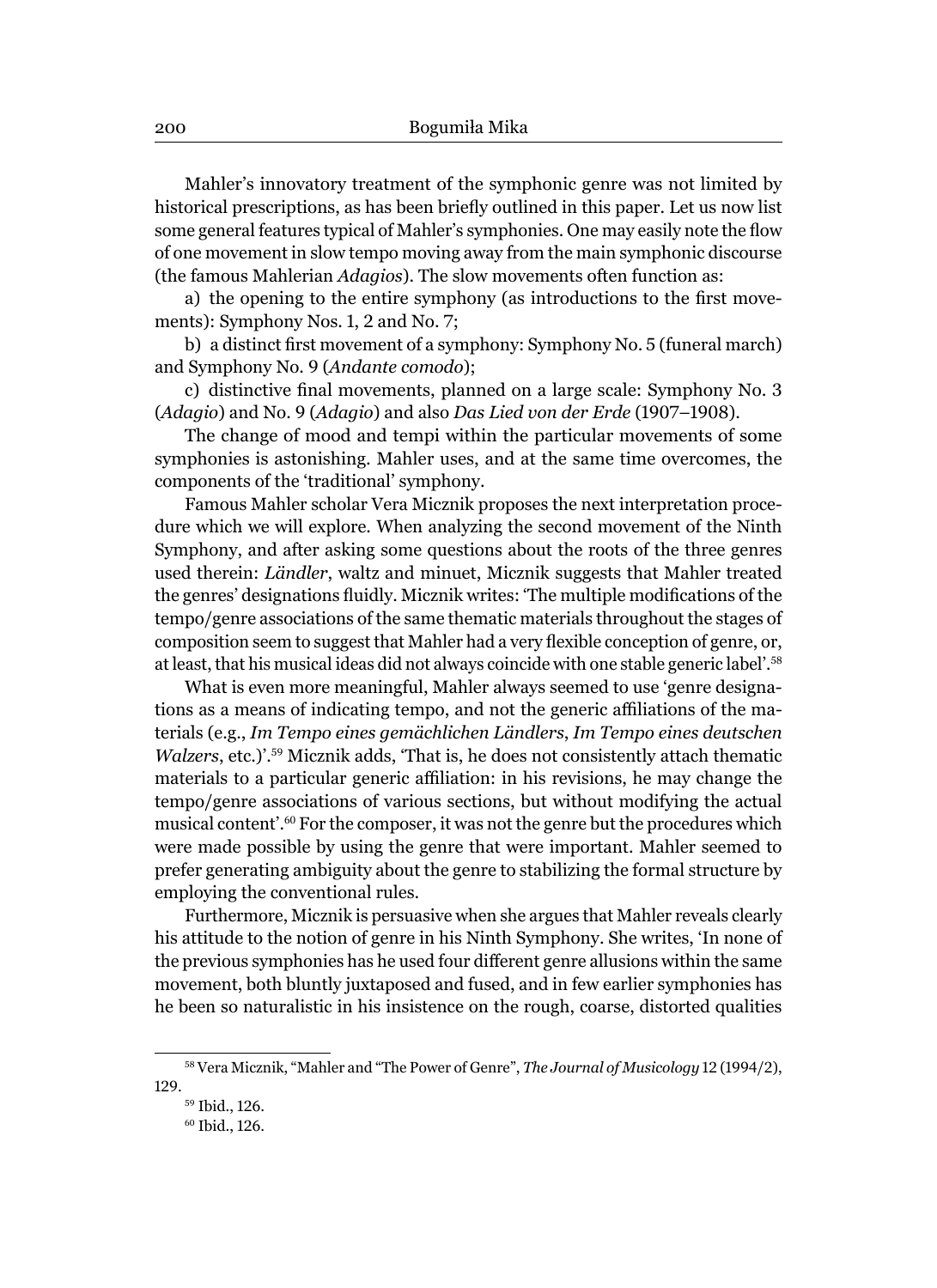Mahler's innovatory treatment of the symphonic genre was not limited by historical prescriptions, as has been briefly outlined in this paper. Let us now list some general features typical of Mahler's symphonies. One may easily note the flow of one movement in slow tempo moving away from the main symphonic discourse (the famous Mahlerian *Adagios*). The slow movements often function as:

a) the opening to the entire symphony (as introductions to the first movements): Symphony Nos. 1, 2 and No. 7;

b) a distinct first movement of a symphony: Symphony No. 5 (funeral march) and Symphony No. 9 (*Andante comodo*);

c) distinctive final movements, planned on a large scale: Symphony No. 3 (*Adagio*) and No. 9 (*Adagio*) and also *Das Lied von der Erde* (1907–1908).

The change of mood and tempi within the particular movements of some symphonies is astonishing. Mahler uses, and at the same time overcomes, the components of the 'traditional' symphony.

Famous Mahler scholar Vera Micznik proposes the next interpretation procedure which we will explore. When analyzing the second movement of the Ninth Symphony, and after asking some questions about the roots of the three genres used therein: *Ländler*, waltz and minuet, Micznik suggests that Mahler treated the genres' designations fluidly. Micznik writes: 'The multiple modifications of the tempo/genre associations of the same thematic materials throughout the stages of composition seem to suggest that Mahler had a very flexible conception of genre, or, at least, that his musical ideas did not always coincide with one stable generic label'.<sup>58</sup>

What is even more meaningful, Mahler always seemed to use 'genre designations as a means of indicating tempo, and not the generic affiliations of the materials (e.g., *Im Tempo eines gemächlichen Ländlers*, *Im Tempo eines deutschen Walzers*, etc.)'.59 Micznik adds, 'That is, he does not consistently attach thematic materials to a particular generic affiliation: in his revisions, he may change the tempo/genre associations of various sections, but without modifying the actual musical content'.<sup>60</sup> For the composer, it was not the genre but the procedures which were made possible by using the genre that were important. Mahler seemed to prefer generating ambiguity about the genre to stabilizing the formal structure by employing the conventional rules.

Furthermore, Micznik is persuasive when she argues that Mahler reveals clearly his attitude to the notion of genre in his Ninth Symphony. She writes, 'In none of the previous symphonies has he used four different genre allusions within the same movement, both bluntly juxtaposed and fused, and in few earlier symphonies has he been so naturalistic in his insistence on the rough, coarse, distorted qualities

<sup>58</sup> Vera Micznik, "Mahler and "The Power of Genre", *The Journal of Musicology* 12 (1994/2), 129.

<sup>59</sup> Ibid., 126.

<sup>60</sup> Ibid., 126.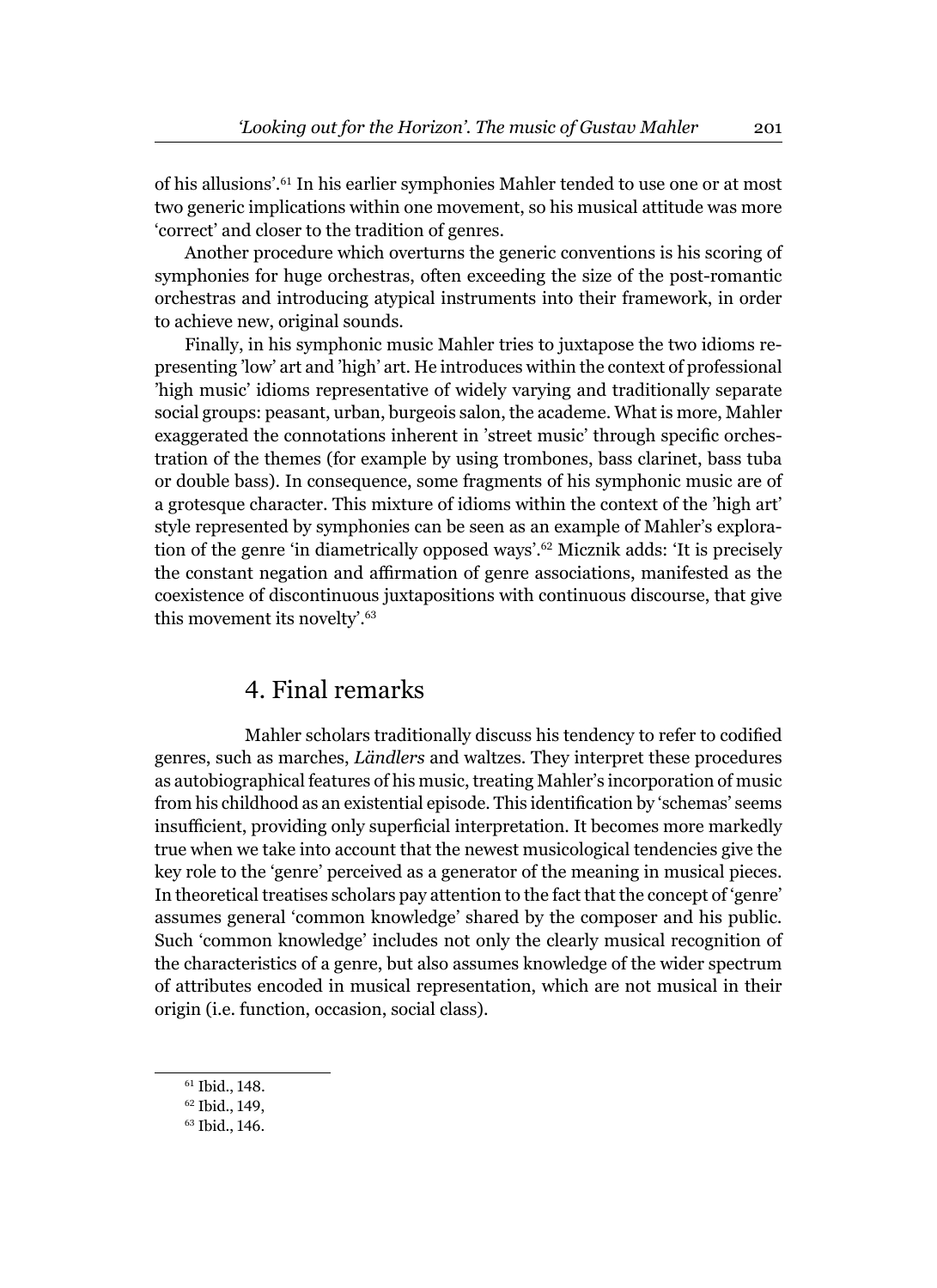of his allusions'.61 In his earlier symphonies Mahler tended to use one or at most two generic implications within one movement, so his musical attitude was more 'correct' and closer to the tradition of genres.

Another procedure which overturns the generic conventions is his scoring of symphonies for huge orchestras, often exceeding the size of the post-romantic orchestras and introducing atypical instruments into their framework, in order to achieve new, original sounds.

Finally, in his symphonic music Mahler tries to juxtapose the two idioms representing 'low' art and 'high' art. He introduces within the context of professional 'high music' idioms representative of widely varying and traditionally separate social groups: peasant, urban, burgeois salon, the academe. What is more, Mahler exaggerated the connotations inherent in 'street music' through specific orchestration of the themes (for example by using trombones, bass clarinet, bass tuba or double bass). In consequence, some fragments of his symphonic music are of a grotesque character. This mixture of idioms within the context of the 'high art' style represented by symphonies can be seen as an example of Mahler's exploration of the genre 'in diametrically opposed ways'.62 Micznik adds: 'It is precisely the constant negation and affirmation of genre associations, manifested as the coexistence of discontinuous juxtapositions with continuous discourse, that give this movement its novelty'.<sup>63</sup>

#### 4. Final remarks

Mahler scholars traditionally discuss his tendency to refer to codified genres, such as marches, *Ländlers* and waltzes. They interpret these procedures as autobiographical features of his music, treating Mahler's incorporation of music from his childhood as an existential episode. This identification by 'schemas' seems insufficient, providing only superficial interpretation. It becomes more markedly true when we take into account that the newest musicological tendencies give the key role to the 'genre' perceived as a generator of the meaning in musical pieces. In theoretical treatises scholars pay attention to the fact that the concept of 'genre' assumes general 'common knowledge' shared by the composer and his public. Such 'common knowledge' includes not only the clearly musical recognition of the characteristics of a genre, but also assumes knowledge of the wider spectrum of attributes encoded in musical representation, which are not musical in their origin (i.e. function, occasion, social class).

<sup>61</sup> Ibid., 148.

<sup>62</sup> Ibid., 149,

<sup>63</sup> Ibid., 146.